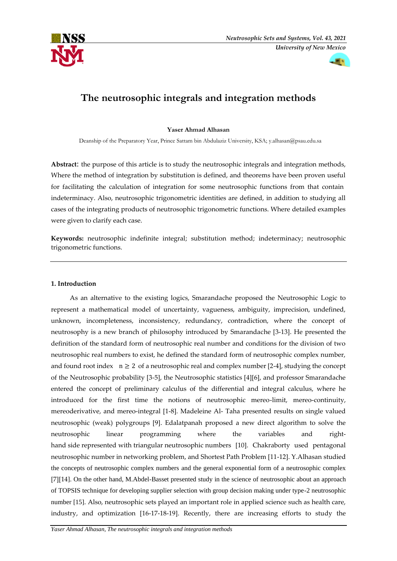



# **The neutrosophic integrals and integration methods**

## **Yaser Ahmad Alhasan**

Deanship of the Preparatory Year, Prince Sattam bin Abdulaziz University, KSA; [y.alhasan@psau.edu.sa](mailto:y.alhasan@psau.edu.sa)

**Abstract**: the purpose of this article is to study the neutrosophic integrals and integration methods, Where the method of integration by substitution is defined, and theorems have been proven useful for facilitating the calculation of integration for some neutrosophic functions from that contain indeterminacy. Also, neutrosophic trigonometric identities are defined, in addition to studying all cases of the integrating products of neutrosophic trigonometric functions. Where detailed examples were given to clarify each case.

**Keywords:** neutrosophic indefinite integral; substitution method; indeterminacy; neutrosophic trigonometric functions.

## **1. Introduction**

 As an alternative to the existing logics, Smarandache proposed the Neutrosophic Logic to represent a mathematical model of uncertainty, vagueness, ambiguity, imprecision, undefined, unknown, incompleteness, inconsistency, redundancy, contradiction, where the concept of neutrosophy is a new branch of philosophy introduced by Smarandache [3-13]. He presented the definition of the standard form of neutrosophic real number and conditions for the division of two neutrosophic real numbers to exist, he defined the standard form of neutrosophic complex number, and found root index  $n \geq 2$  of a neutrosophic real and complex number [2-4], studying the concept of the Neutrosophic probability [3-5], the Neutrosophic statistics [4][6], and professor Smarandache entered the concept of preliminary calculus of the differential and integral calculus, where he introduced for the first time the notions of neutrosophic mereo-limit, mereo-continuity, mereoderivative, and mereo-integral [1-8]. Madeleine Al- Taha presented results on single valued neutrosophic (weak) polygroups [9]. Edalatpanah proposed a new direct algorithm to solve the neutrosophic linear programming where the variables and righthand side represented with triangular neutrosophic numbers [10]. Chakraborty used pentagonal neutrosophic number in networking problem, and Shortest Path Problem [11-12]. Y.Alhasan studied the concepts of neutrosophic complex numbers and the general exponential form of a neutrosophic complex [7][14]. On the other hand, M.Abdel-Basset presented study in the science of neutrosophic about an approach of TOPSIS technique for developing supplier selection with group decision making under type-2 neutrosophic number [15]. Also, neutrosophic sets played an important role in applied science such as health care, industry, and optimization [16-17-18-19]. Recently, there are increasing efforts to study the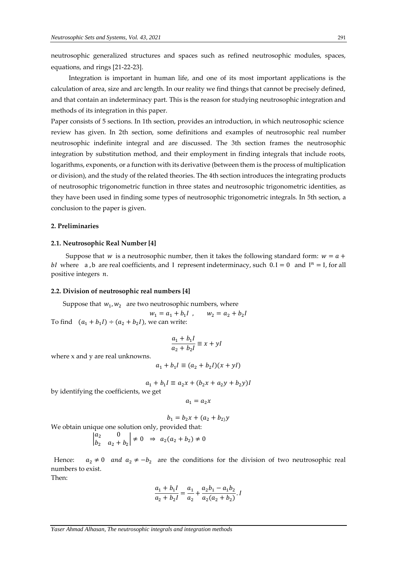neutrosophic generalized structures and spaces such as refined neutrosophic modules, spaces, equations, and rings [21-22-23].

 Integration is important in human life, and one of its most important applications is the calculation of area, size and arc length. In our reality we find things that cannot be precisely defined, and that contain an indeterminacy part. This is the reason for studying neutrosophic integration and methods of its integration in this paper.

Paper consists of 5 sections. In 1th section, provides an introduction, in which neutrosophic science review has given. In 2th section, some definitions and examples of neutrosophic real number neutrosophic indefinite integral and are discussed. The 3th section frames the neutrosophic integration by substitution method, and their employment in finding integrals that include roots, logarithms, exponents, or a function with its derivative (between them is the process of multiplication or division), and the study of the related theories. The 4th section introduces the integrating products of neutrosophic trigonometric function in three states and neutrosophic trigonometric identities, as they have been used in finding some types of neutrosophic trigonometric integrals. In 5th section, a conclusion to the paper is given.

#### **2. Preliminaries**

#### **2.1. Neutrosophic Real Number [4]**

Suppose that w is a neutrosophic number, then it takes the following standard form:  $w = a +$ bI where a, b are real coefficients, and I represent indeterminacy, such  $0.I = 0$  and  $I<sup>n</sup> = I$ , for all positive integers  $n$ .

#### **2.2. Division of neutrosophic real numbers [4]**

Suppose that 
$$
w_1, w_2
$$
 are two neutrosophic numbers, where

 $w_1 = a_1 + b_1 l$ ,  $w_2 = a_2 + b_2 l$ To find  $(a_1 + b_1) \div (a_2 + b_2)$ , we can write:

$$
\frac{a_1 + b_1 I}{a_2 + b_2 I} \equiv x + yI
$$

where x and y are real unknowns.

$$
a_1 + b_1 I \equiv (a_2 + b_2 I)(x + yI)
$$

$$
a_1 + b_1 I \equiv a_2 x + (b_2 x + a_2 y + b_2 y)I
$$

by identifying the coefficients, we get

$$
a_1=a_2x
$$

$$
b_1 = b_2 x + (a_2 + b_2) y
$$

We obtain unique one solution only, provided that:

$$
\begin{vmatrix} a_2 & 0 \\ b_2 & a_2 + b_2 \end{vmatrix} \neq 0 \Rightarrow a_2(a_2 + b_2) \neq 0
$$

Hence:  $a_2 \neq 0$  and  $a_2 \neq -b_2$  are the conditions for the division of two neutrosophic real numbers to exist.

Then:

$$
\frac{a_1 + b_1 I}{a_2 + b_2 I} = \frac{a_1}{a_2} + \frac{a_2 b_1 - a_1 b_2}{a_2 (a_2 + b_2)} I
$$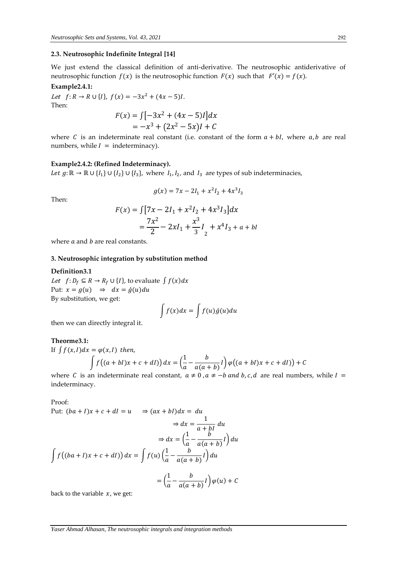## **2.3. Neutrosophic Indefinite Integral [14]**

We just extend the classical definition of anti-derivative. The neutrosophic antiderivative of neutrosophic function  $f(x)$  is the neutrosophic function  $F(x)$  such that  $F'(x) = f(x)$ .

## **Example2.4.1:**

Let  $f: R \to R \cup \{l\}, f(x) = -3x^2 + (4x - 5)l$ . Then:  $F(x) = \int [-3x^2 + (4x - 5)I] dx$ 

$$
F(x) = \int_{-\infty}^{\infty} \frac{-3x^2 + (4x - 5)t}{x^2 - 5x} dx
$$
  
=  $-x^3 + (2x^2 - 5x)I + C$ 

where C is an indeterminate real constant (i.e. constant of the form  $a + bl$ , where  $a, b$  are real numbers, while  $I =$  indeterminacy).

#### **Example2.4.2: (Refined Indeterminacy).**

*Let*  $g: \mathbb{R} \to \mathbb{R} \cup \{I_1\} \cup \{I_2\} \cup \{I_3\}$ , where  $I_1, I_2$ , and  $I_3$  are types of sub indeterminacies,

$$
g(x) = 7x - 2I_1 + x^2I_2 + 4x^3I_3
$$

Then:

$$
F(x) = \int [7x - 2I_1 + x^2I_2 + 4x^3I_3]dx
$$
  
=  $\frac{7x^2}{2} - 2xI_1 + \frac{x^3}{3}I_2 + x^4I_3 + a + bl$ 

where  $a$  and  $b$  are real constants.

## **3. Neutrosophic integration by substitution method**

#### **Definition3.1**

*Let*  $f: D_f \subseteq R \rightarrow R_f \cup \{I\}$ , to evaluate  $\int f(x)dx$ Put:  $x = g(u) \Rightarrow dx = \dot{g}(u)du$ By substitution, we get:

$$
\int f(x)dx = \int f(u)\dot{g}(u)du
$$

then we can directly integral it.

## **Theorme3.1:**

If 
$$
\int f(x, l) dx = \varphi(x, l)
$$
 then,  

$$
\int f((a + bl)x + c + dl)) dx = \left(\frac{1}{a} - \frac{b}{a(a + b)}l\right) \varphi((a + bl)x + c + dl)) + C
$$

where C is an indeterminate real constant,  $a \ne 0$ ,  $a \ne -b$  and b, c, d are real numbers, while  $I =$ indeterminacy.

Proof:

Put: 
$$
(ba + I)x + c + dl = u
$$
  $\Rightarrow (ax + bl)dx = du$   
\n $\Rightarrow dx = \frac{1}{a + bl} du$   
\n $\Rightarrow dx = \left(\frac{1}{a} - \frac{b}{a(a + b)}I\right) du$   
\n $\int f((ba + I)x + c + dl)) dx = \int f(u) \left(\frac{1}{a} - \frac{b}{a(a + b)}I\right) du$   
\n $= \left(\frac{1}{a} - \frac{b}{a(a + b)}I\right) \varphi(u) + C$ 

back to the variable  $x$ , we get: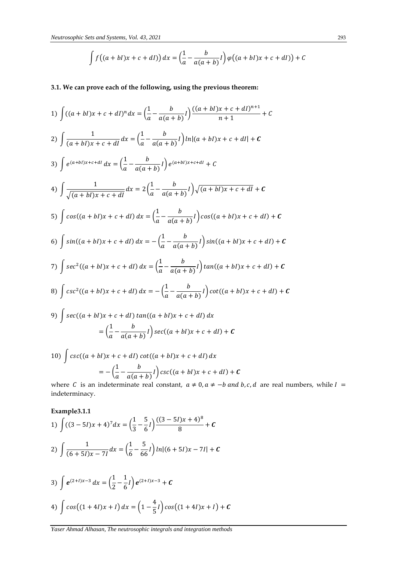$$
\int f((a+bl)x + c + dl)) dx = \left(\frac{1}{a} - \frac{b}{a(a+b)}l\right) \varphi((a+bl)x + c + dl)) + C
$$

# **3.1. We can prove each of the following, using the previous theorem:**

1) 
$$
\int ((a + bI)x + c + dI)^n dx = \left(\frac{1}{a} - \frac{b}{a(a + b)}I\right) \frac{((a + bI)x + c + dI)^{n+1}}{n+1} + C
$$
  
\n2) 
$$
\int \frac{1}{(a + bI)x + c + dI} dx = \left(\frac{1}{a} - \frac{b}{a(a + b)}I\right) \ln|(a + bI)x + c + dI| + C
$$
  
\n3) 
$$
\int e^{(a+bI)x + c + dI} dx = \left(\frac{1}{a} - \frac{b}{a(a + b)}I\right) e^{(a+bI)x + c + dI} + C
$$
  
\n4) 
$$
\int \frac{1}{\sqrt{(a + bI)x + c + dI}} dx = 2\left(\frac{1}{a} - \frac{b}{a(a + b)}I\right) \sqrt{(a + bI)x + c + dI} + C
$$
  
\n5) 
$$
\int \cos((a + bI)x + c + dI) dx = \left(\frac{1}{a} - \frac{b}{a(a + b)}I\right) \cos((a + bI)x + c + dI) + C
$$
  
\n6) 
$$
\int \sin((a + bI)x + c + dI) dx = -\left(\frac{1}{a} - \frac{b}{a(a + b)}I\right) \sin((a + bI)x + c + dI) + C
$$
  
\n7) 
$$
\int \sec^2((a + bI)x + c + dI) dx = \left(\frac{1}{a} - \frac{b}{a(a + b)}I\right) \tan((a + bI)x + c + dI) + C
$$
  
\n8) 
$$
\int \csc^2((a + bI)x + c + dI) dx = -\left(\frac{1}{a} - \frac{b}{a(a + b)}I\right) \cot((a + bI)x + c + dI) + C
$$
  
\n9) 
$$
\int \sec((a + bI)x + c + dI) \tan((a + bI)x + c + dI) dx
$$
  
\n
$$
= \left(\frac{1}{a} - \frac{b}{a(a + b)}I\right) \sec((a + bI)x + c + dI) dx
$$
  
\n10) 
$$
\int \csc((a + bI)x + c + dI) \cot((a + bI)x + c + dI) dx
$$

10) 
$$
\int \csc((a+bl)x + c + dl) \cot((a+bl)x + c + dl) dx
$$

$$
= -\left(\frac{1}{a} - \frac{b}{a(a+b)}I\right) \csc((a+bl)x + c + dl) + C
$$
where *G* is an independent,  $5 \neq 0$ ,  $5 \neq b$ , and

where *C* is an indeterminate real constant,  $a \ne 0$ ,  $a \ne -b$  and b, c, d are real numbers, while  $I =$ indeterminacy.

 $\frac{1}{5}I\right}cos((1+4I)x+I)+C$ 

**Example3.1.1**

1) 
$$
\int ((3-5I)x + 4)^{7} dx = \left(\frac{1}{3} - \frac{5}{6}I\right) \frac{((3-5I)x + 4)^{8}}{8} + C
$$
  
2) 
$$
\int \frac{1}{(6+5I)x - 7I} dx = \left(\frac{1}{6} - \frac{5}{66}I\right) \ln|(6+5I)x - 7I| + C
$$
  
3) 
$$
\int e^{(2+I)x-3} dx = \left(\frac{1}{2} - \frac{1}{6}I\right) e^{(2+I)x-3} + C
$$
  
4) 
$$
\int \cos((1+4I)x + I) dx = \left(1 - \frac{4}{5}I\right) \cos((1+4I)x + I) + C
$$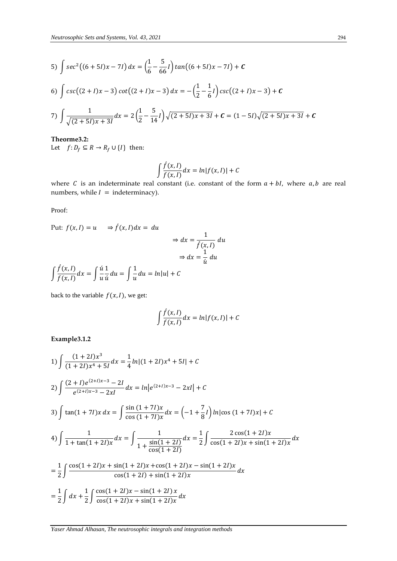5) 
$$
\int \sec^2((6+5I)x - 7I) dx = \left(\frac{1}{6} - \frac{5}{66}I\right) \tan((6+5I)x - 7I) + C
$$
  
6) 
$$
\int \csc((2+I)x - 3)\cot((2+I)x - 3) dx = -\left(\frac{1}{2} - \frac{1}{6}I\right) \csc((2+I)x - 3) + C
$$

7) 
$$
\int \frac{1}{\sqrt{(2+5I)x+3I}} dx = 2\left(\frac{1}{2}-\frac{5}{14}I\right)\sqrt{(2+5I)x+3I} + C = (1-5I)\sqrt{(2+5I)x+3I} + C
$$

**Theorme3.2:**  Let  $f: D_f \subseteq R \rightarrow R_f \cup \{I\}$  then:

$$
\int \frac{\hat{f}(x,I)}{f(x,I)} dx = \ln|f(x,I)| + C
$$

where  $C$  is an indeterminate real constant (i.e. constant of the form  $a + bl$ , where  $a, b$  are real numbers, while  $I =$  indeterminacy).

Proof:

Put: 
$$
f(x, I) = u
$$
  $\Rightarrow \hat{f}(x, I) dx = du$   
\n $\Rightarrow dx = \frac{1}{\hat{f}(x, I)} du$   
\n $\Rightarrow dx = \frac{1}{\hat{u}} du$   
\n $\int \frac{\hat{f}(x, I)}{f(x, I)} dx = \int \frac{\hat{u}}{u} \frac{1}{\hat{u}} du = \int \frac{1}{u} du = ln|u| + C$ 

back to the variable  $f(x, I)$ , we get:

$$
\int \frac{\hat{f}(x, I)}{f(x, I)} dx = \ln|f(x, I)| + C
$$

**Example3.1.2**

1) 
$$
\int \frac{(1+2I)x^3}{(1+2I)x^4+5I} dx = \frac{1}{4} ln|(1+2I)x^4+5I| + C
$$
  
\n2) 
$$
\int \frac{(2+I)e^{(2+I)x-3}-2I}{e^{(2+I)x-3}-2xI} dx = ln|e^{(2+I)x-3}-2xI| + C
$$
  
\n3) 
$$
\int tan(1+7I)x dx = \int \frac{sin(1+7I)x}{cos(1+7I)x} dx = (-1+\frac{7}{8}I) ln|cos(1+7I)x| + C
$$
  
\n4) 
$$
\int \frac{1}{1+tan(1+2I)x} dx = \int \frac{1}{1+\frac{sin(1+2I)}{cos(1+2I)}} dx = \frac{1}{2} \int \frac{2cos(1+2I)x}{cos(1+2I)x+sin(1+2I)x} dx
$$
  
\n
$$
= \frac{1}{2} \int \frac{cos(1+2I)x+sin(1+2I)x+cos(1+2I)x-sin(1+2I)x}{cos(1+2I)+sin(1+2I)x} dx
$$
  
\n
$$
= \frac{1}{2} \int dx + \frac{1}{2} \int \frac{cos(1+2I)x-sin(1+2I)x}{cos(1+2I)x+sin(1+2I)x} dx
$$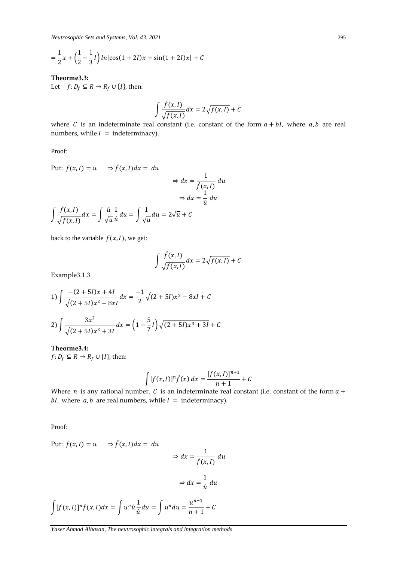$$
= \frac{1}{2}x + \left(\frac{1}{2} - \frac{1}{3}I\right)ln|cos(1 + 2I)x| + sin(1 + 2I)x| + C
$$

# **Theorme3.3:**

Let  $f: D_f \subseteq R \rightarrow R_f \cup \{I\}$ , then:

$$
\int \frac{\hat{f}(x,I)}{\sqrt{f(x,I)}} dx = 2\sqrt{f(x,I)} + C
$$

where C is an indeterminate real constant (i.e. constant of the form  $a + bl$ , where  $a, b$  are real numbers, while  $I =$  indeterminacy).

Proof:

Put: 
$$
f(x, I) = u
$$
  $\Rightarrow \hat{f}(x, I) dx = du$   
\n $\Rightarrow dx = \frac{1}{\hat{f}(x, I)} du$   
\n $\Rightarrow dx = \frac{1}{\hat{u}} du$   
\n $\int \frac{\hat{f}(x, I)}{\sqrt{f(x, I)}} dx = \int \frac{\hat{u}}{\sqrt{u}} \frac{1}{\hat{u}} du = \int \frac{1}{\sqrt{u}} du = 2\sqrt{u} + C$ 

back to the variable  $f(x, I)$ , we get:

$$
\int \frac{\hat{f}(x,I)}{\sqrt{f(x,I)}} dx = 2\sqrt{f(x,I)} + C
$$

Example3.1.3

1) 
$$
\int \frac{-(2+5I)x+4I}{\sqrt{(2+5I)x^2-8xI}} dx = \frac{-1}{2} \sqrt{(2+5I)x^2-8xI} + C
$$
  
2) 
$$
\int \frac{3x^2}{\sqrt{(2+5I)x^3+3I}} dx = \left(1-\frac{5}{7}I\right) \sqrt{(2+5I)x^3+3I} + C
$$

**Theorme3.4:**   $f: D_f \subseteq R \rightarrow R_f \cup \{I\}$ , then:

$$
\int [f(x, I)]^n \hat{f}(x) dx = \frac{[f(x, I)]^{n+1}}{n+1} + C
$$

Where *n* is any rational number. *C* is an indeterminate real constant (i.e. constant of the form  $a +$ bI, where  $a, b$  are real numbers, while  $I =$  indeterminacy).

Proof:

Put: 
$$
f(x, I) = u
$$
  $\Rightarrow \hat{f}(x, I)dx = du$   

$$
\Rightarrow dx = \frac{1}{\hat{f}(x, I)} du
$$

$$
\Rightarrow dx = \frac{1}{\hat{u}} du
$$

$$
\int [f(x, I)]^n \hat{f}(x, I)dx = \int u^n \hat{u} \frac{1}{\hat{u}} du = \int u^n du = \frac{u^{n+1}}{n+1} + C
$$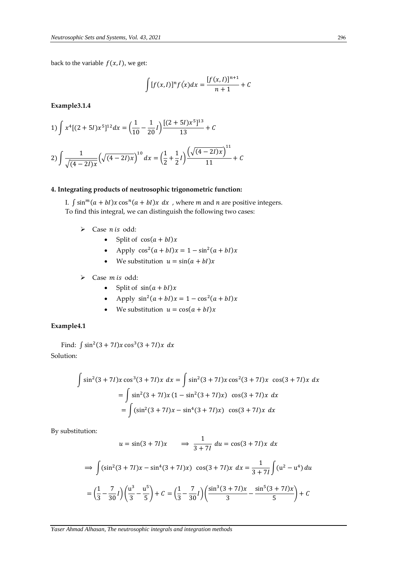back to the variable  $f(x, l)$ , we get:

$$
\int [f(x, I)]^n f(x) dx = \frac{[f(x, I)]^{n+1}}{n+1} + C
$$

**Example3.1.4**

1) 
$$
\int x^4 [(2+5I)x^5]^{12} dx = \left(\frac{1}{10} - \frac{1}{20}I\right) \frac{[(2+5I)x^5]^{13}}{13} + C
$$
  
2) 
$$
\int \frac{1}{\sqrt{(4-2I)x}} \left(\sqrt{(4-2I)x}\right)^{10} dx = \left(\frac{1}{2} + \frac{1}{2}I\right) \frac{\left(\sqrt{(4-2I)x}\right)^{11}}{11} + C
$$

# **4. Integrating products of neutrosophic trigonometric function:**

I.  $\int \sin^m (a + bI)x \cos^n (a + bI)x dx$ , where *m* and *n* are positive integers. To find this integral, we can distinguish the following two cases:

- $\triangleright$  Case *n* is odd:
	- Split of  $cos(a + bI)x$
	- Apply  $\cos^2(a + bI)x = 1 \sin^2(a + bI)x$
	- We substitution  $u = sin(a + bI)x$
- $\triangleright$  Case *m* is odd:
	- Split of  $sin(a + bI)x$
	- Apply  $\sin^2(a + bI)x = 1 \cos^2(a + bI)x$
	- We substitution  $u = \cos(a + bI)x$

# **Example4.1**

Find:  $\int \sin^2(3 + 7I)x \cos^3(3 + 7I)x dx$ Solution:

$$
\int \sin^2(3+7I)x \cos^3(3+7I)x \, dx = \int \sin^2(3+7I)x \cos^2(3+7I)x \, \cos(3+7I)x \, dx
$$

$$
= \int \sin^2(3+7I)x (1-\sin^2(3+7I)x) \cos(3+7I)x \, dx
$$

$$
= \int (\sin^2(3+7I)x - \sin^4(3+7I)x) \cos(3+7I)x \, dx
$$

By substitution:

$$
u = \sin(3 + 7I)x \implies \frac{1}{3 + 7I} du = \cos(3 + 7I)x dx
$$
  

$$
\implies \int (\sin^2(3 + 7I)x - \sin^4(3 + 7I)x) \cos(3 + 7I)x dx = \frac{1}{3 + 7I} \int (u^2 - u^4) du
$$
  

$$
= \left(\frac{1}{3} - \frac{7}{30}I\right) \left(\frac{u^3}{3} - \frac{u^5}{5}\right) + C = \left(\frac{1}{3} - \frac{7}{30}I\right) \left(\frac{\sin^3(3 + 7I)x}{3} - \frac{\sin^5(3 + 7I)x}{5}\right) + C
$$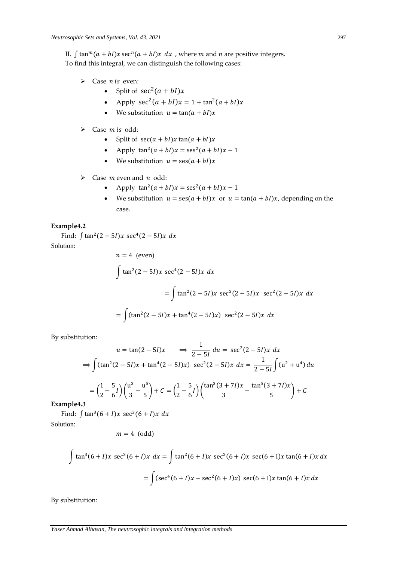II.  $\int \tan^m (a + bI)x \sec^n (a + bI)x dx$ , where *m* and *n* are positive integers. To find this integral, we can distinguish the following cases:

- $\triangleright$  Case *n* is even:
	- Split of  $sec^2(a + bI)x$
	- Apply  $sec^2(a + bI)x = 1 + tan^2(a + bI)x$
	- We substitution  $u = \tan(a + bI)x$
- $\triangleright$  Case *m* is odd:
	- Split of  $sec(a + bI)x tan(a + bI)x$
	- Apply  $\tan^2(a + bI)x = \sec^2(a + bI)x 1$
	- We substitution  $u = \text{ses}(a + bI)x$
- $\triangleright$  Case *m* even and *n* odd:
	- Apply  $\tan^2(a + bI)x = \sec^2(a + bI)x 1$
	- We substitution  $u = \text{ses}(a + bI)x$  or  $u = \text{tan}(a + bI)x$ , depending on the case.

## **Example4.2**

Find: ∫tan<sup>2</sup>(2 – 5*I*)*x* sec<sup>4</sup>(2 – 5*I*)*x* d*x* Solution:

$$
n = 4 \text{ (even)}
$$
\n
$$
\int \tan^2(2 - 5I)x \sec^4(2 - 5I)x \, dx
$$
\n
$$
= \int \tan^2(2 - 5I)x \sec^2(2 - 5I)x \sec^2(2 - 5I)x \, dx
$$
\n
$$
= \int (\tan^2(2 - 5I)x + \tan^4(2 - 5I)x) \sec^2(2 - 5I)x \, dx
$$

By substitution:

$$
u = \tan(2 - 5I)x \implies \frac{1}{2 - 5I} du = \sec^2(2 - 5I)x dx
$$
  
\n
$$
\implies \int (\tan^2(2 - 5I)x + \tan^4(2 - 5I)x) \sec^2(2 - 5I)x dx = \frac{1}{2 - 5I} \int (u^2 + u^4) du
$$
  
\n
$$
= \left(\frac{1}{2} - \frac{5}{6}I\right) \left(\frac{u^3}{3} - \frac{u^5}{5}\right) + C = \left(\frac{1}{2} - \frac{5}{6}I\right) \left(\frac{\tan^3(3 + 7I)x}{3} - \frac{\tan^5(3 + 7I)x}{5}\right) + C
$$

**Example4.3**

Find:  $\int \tan^3(6+I)x \sec^3(6+I)x dx$ 

Solution:

$$
m=4\ \text{(odd)}
$$

$$
\int \tan^3(6+I)x \sec^3(6+I)x dx = \int \tan^2(6+I)x \sec^2(6+I)x \sec(6+I)x \tan(6+I)x dx
$$

$$
= \int (\sec^4(6+I)x - \sec^2(6+I)x) \sec(6+I)x \tan(6+I)x dx
$$

By substitution: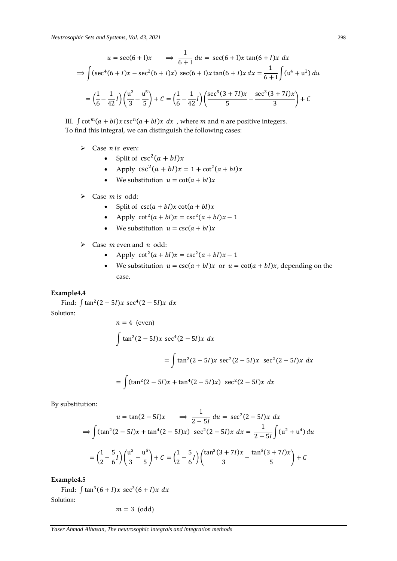$$
u = \sec(6 + 1)x \implies \frac{1}{6+1} du = \sec(6 + 1)x \tan(6 + 1)x dx
$$
  
\n
$$
\implies \int (\sec^4(6 + 1)x - \sec^2(6 + 1)x) \sec(6 + 1)x \tan(6 + 1)x dx = \frac{1}{6+1} \int (u^4 + u^2) du
$$
  
\n
$$
= \left(\frac{1}{6} - \frac{1}{42}I\right) \left(\frac{u^3}{3} - \frac{u^5}{5}\right) + C = \left(\frac{1}{6} - \frac{1}{42}I\right) \left(\frac{\sec^5(3 + 7I)x}{5} - \frac{\sec^3(3 + 7I)x}{3}\right) + C
$$

III.  $\int \cot^{m}(a + bI)x \csc^{n}(a + bI)x dx$ , where *m* and *n* are positive integers. To find this integral, we can distinguish the following cases:

- $\triangleright$  Case *n* is even:
	- Split of  $csc^2(a + bl)x$
	- Apply  $\csc^2(a + bI)x = 1 + \cot^2(a + bI)x$
	- We substitution  $u = \cot(a + bI)x$
- $\triangleright$  Case *m* is odd:
	- Split of  $\csc(a + bI)x \cot(a + bI)x$
	- Apply  $\cot^2(a + bI)x = \csc^2(a + bI)x 1$
	- We substitution  $u = \csc(a + bI)x$
- $\triangleright$  Case *m* even and *n* odd:
	- Apply  $\cot^2(a + bI)x = \csc^2(a + bI)x 1$
	- We substitution  $u = \csc(a + bI)x$  or  $u = \cot(a + bI)x$ , depending on the case.

#### **Example4.4**

Find:  $\int \tan^2(2-5I)x \sec^4(2-5I)x dx$ Solution:

$$
n = 4 \text{ (even)}
$$
\n
$$
\int \tan^2(2 - 5I)x \sec^4(2 - 5I)x \, dx
$$
\n
$$
= \int \tan^2(2 - 5I)x \sec^2(2 - 5I)x \sec^2(2 - 5I)x \, dx
$$
\n
$$
= \int (\tan^2(2 - 5I)x + \tan^4(2 - 5I)x) \sec^2(2 - 5I)x \, dx
$$

By substitution:

$$
u = \tan(2 - 5I)x \implies \frac{1}{2 - 5I} du = \sec^2(2 - 5I)x dx
$$
  

$$
\implies \int (\tan^2(2 - 5I)x + \tan^4(2 - 5I)x) \sec^2(2 - 5I)x dx = \frac{1}{2 - 5I} \int (u^2 + u^4) du
$$
  

$$
= \left(\frac{1}{2} - \frac{5}{6}I\right) \left(\frac{u^3}{3} - \frac{u^5}{5}\right) + C = \left(\frac{1}{2} - \frac{5}{6}I\right) \left(\frac{\tan^3(3 + 7I)x}{3} - \frac{\tan^5(3 + 7I)x}{5}\right) + C
$$

**Example4.5**

Find:  $\int \tan^3(6+I)x \sec^3(6+I)x dx$ 

Solution:

$$
m=3\ \text{(odd)}
$$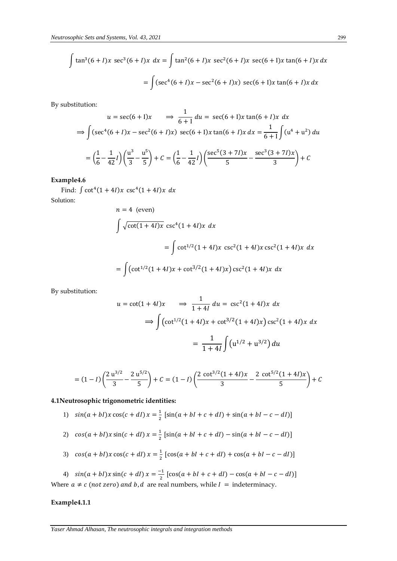$$
\int \tan^3(6+I)x \sec^3(6+I)x dx = \int \tan^2(6+I)x \sec^2(6+I)x \sec(6+I)x \tan(6+I)x dx
$$

$$
= \int (\sec^4(6+I)x - \sec^2(6+I)x) \sec(6+I)x \tan(6+I)x dx
$$

By substitution:

$$
u = \sec(6+1)x \implies \frac{1}{6+1} du = \sec(6+1)x \tan(6+1)x dx
$$
  

$$
\implies \int (\sec^4(6+1)x - \sec^2(6+1)x) \sec(6+1)x \tan(6+1)x dx = \frac{1}{6+1} \int (u^4 + u^2) du
$$
  

$$
= \left(\frac{1}{6} - \frac{1}{42}I\right) \left(\frac{u^3}{3} - \frac{u^5}{5}\right) + C = \left(\frac{1}{6} - \frac{1}{42}I\right) \left(\frac{\sec^5(3+7I)x}{5} - \frac{\sec^3(3+7I)x}{3}\right) + C
$$

**Example4.6**

Find:  $\int \cot^4(1+4I)x \csc^4(1+4I)x dx$ Solution:

$$
n = 4 \text{ (even)}
$$
\n
$$
\int \sqrt{\cot(1+4I)x} \csc^4(1+4I)x \, dx
$$
\n
$$
= \int \cot^{1/2}(1+4I)x \, \csc^2(1+4I)x \, \csc^2(1+4I)x \, dx
$$
\n
$$
= \int (\cot^{1/2}(1+4I)x + \cot^{3/2}(1+4I)x) \csc^2(1+4I)x \, dx
$$

By substitution:

$$
u = \cot(1 + 4I)x \implies \frac{1}{1 + 4I} du = \csc^2(1 + 4I)x dx
$$

$$
\implies \int (\cot^{1/2}(1 + 4I)x + \cot^{3/2}(1 + 4I)x) \csc^2(1 + 4I)x dx
$$

$$
= \frac{1}{1 + 4I} \int (u^{1/2} + u^{3/2}) du
$$

$$
= (1 - I) \left( \frac{2 \mathrm{u}^{3/2}}{3} - \frac{2 \mathrm{u}^{5/2}}{5} \right) + C = (1 - I) \left( \frac{2 \mathrm{cot}^{3/2} (1 + 4I)x}{3} - \frac{2 \mathrm{cot}^{5/2} (1 + 4I)x}{5} \right) + C
$$

# **4.1Neutrosophic trigonometric identities:**

- 1)  $sin(a + bI)x cos(c + dI)x = \frac{1}{2}$  $\frac{1}{2}$  [sin(a + bI + c + dI) + sin(a + bI – c – dI)]
- 2)  $cos(a + bI)x sin(c + dI)x = \frac{1}{2}$  $\frac{1}{2}$  [sin(a + bI + c + dI) – sin(a + bI – c – dI)]
- 3)  $cos(a + bI)x cos(c + dI)x = \frac{1}{2}$  $\frac{1}{2}$  [cos(a + bI + c + dI) + cos(a + bI – c – dI)]

4)  $sin(a + bI)x sin(c + dl)x = \frac{-1}{2}$  $\frac{1}{2}$  [cos(a + bI + c + dI) – cos(a + bI – c – dI)] Where  $a \neq c$  (not zero) and b, d are real numbers, while  $I =$  indeterminacy.

## **Example4.1.1**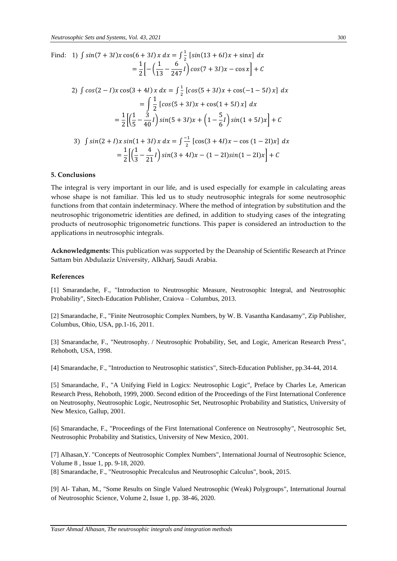Find: 1) 
$$
\int \sin(7 + 3I)x \cos(6 + 3I)x dx = \int \frac{1}{2} [\sin(13 + 6I)x + \sin x] dx
$$
  
\n
$$
= \frac{1}{2} \Big[ -\left(\frac{1}{13} - \frac{6}{247}I\right) \cos(7 + 3I)x - \cos x \Big] + C
$$
\n2)  $\int \cos(2 - I)x \cos(3 + 4I)x dx = \int \frac{1}{2} [\cos(5 + 3I)x + \cos(-1 - 5I)x] dx$   
\n
$$
= \int \frac{1}{2} [\cos(5 + 3I)x + \cos(1 + 5I)x] dx
$$
  
\n
$$
= \frac{1}{2} \Big[ \left(\frac{1}{5} - \frac{3}{40}I\right) \sin(5 + 3I)x + \left(1 - \frac{5}{6}I\right) \sin(1 + 5I)x \Big] + C
$$
\n3)  $\int \sin(2 + I)x \sin(1 + 3I)x dx = \int \frac{-1}{2} [\cos(3 + 4I)x - \cos(1 - 2I)x] dx$   
\n
$$
= \frac{1}{2} \Big[ \left(\frac{1}{3} - \frac{4}{21}I\right) \sin(3 + 4I)x - (1 - 2I)\sin(1 - 2I)x \Big] + C
$$

## **5. Conclusions**

The integral is very important in our life, and is used especially for example in calculating areas whose shape is not familiar. This led us to study neutrosophic integrals for some neutrosophic functions from that contain indeterminacy. Where the method of integration by substitution and the neutrosophic trigonometric identities are defined, in addition to studying cases of the integrating products of neutrosophic trigonometric functions. This paper is considered an introduction to the applications in neutrosophic integrals.

**Acknowledgments:** This publication was supported by the Deanship of Scientific Research at Prince Sattam bin Abdulaziz University, Alkharj, Saudi Arabia.

#### **References**

[1] Smarandache, F., "Introduction to Neutrosophic Measure, Neutrosophic Integral, and Neutrosophic Probability", Sitech-Education Publisher, Craiova – Columbus, 2013.

[2] Smarandache, F., "Finite Neutrosophic Complex Numbers, by W. B. Vasantha Kandasamy", Zip Publisher, Columbus, Ohio, USA, pp.1-16, 2011.

[3] Smarandache, F., "Neutrosophy. / Neutrosophic Probability, Set, and Logic, American Research Press", Rehoboth, USA, 1998.

[4] Smarandache, F., "Introduction to Neutrosophic statistics", Sitech-Education Publisher, pp.34-44, 2014.

[5] Smarandache, F., "A Unifying Field in Logics: Neutrosophic Logic", Preface by Charles Le, American Research Press, Rehoboth, 1999, 2000. Second edition of the Proceedings of the First International Conference on Neutrosophy, Neutrosophic Logic, Neutrosophic Set, Neutrosophic Probability and Statistics, University of New Mexico, Gallup, 2001.

[6] Smarandache, F., "Proceedings of the First International Conference on Neutrosophy", Neutrosophic Set, Neutrosophic Probability and Statistics, University of New Mexico, 2001.

[7] Alhasan,Y. "Concepts of Neutrosophic Complex Numbers", International Journal of Neutrosophic Science, Volume 8 , Issue 1, pp. 9-18, 2020.

[8] Smarandache, F., "Neutrosophic Precalculus and Neutrosophic Calculus", book, 2015.

[9] Al- Tahan, M., "Some Results on Single Valued Neutrosophic (Weak) Polygroups", International Journal of Neutrosophic Science, Volume 2, Issue 1, pp. 38-46, 2020.